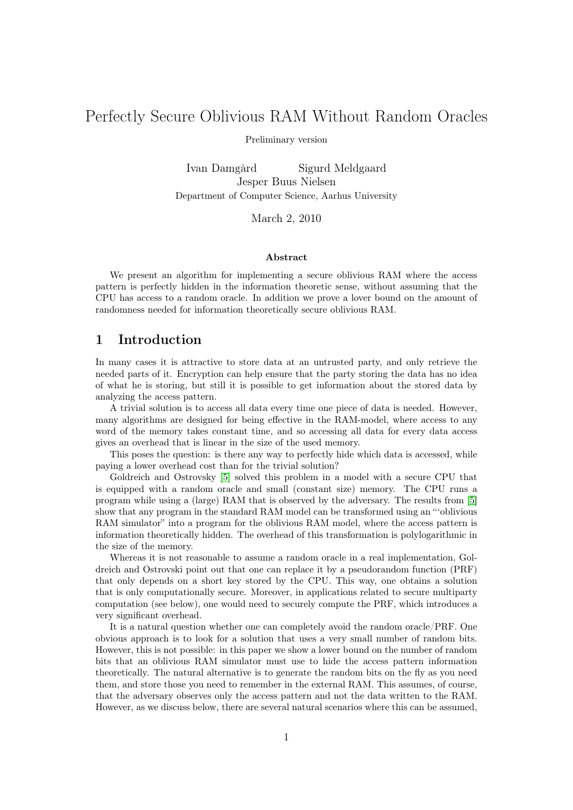# Perfectly Secure Oblivious RAM Without Random Oracles

Preliminary version

Ivan Damgård Sigurd Meldgaard Jesper Buus Nielsen Department of Computer Science, Aarhus University

March 2, 2010

#### Abstract

We present an algorithm for implementing a secure oblivious RAM where the access pattern is perfectly hidden in the information theoretic sense, without assuming that the CPU has access to a random oracle. In addition we prove a lover bound on the amount of randomness needed for information theoretically secure oblivious RAM.

## 1 Introduction

In many cases it is attractive to store data at an untrusted party, and only retrieve the needed parts of it. Encryption can help ensure that the party storing the data has no idea of what he is storing, but still it is possible to get information about the stored data by analyzing the access pattern.

A trivial solution is to access all data every time one piece of data is needed. However, many algorithms are designed for being effective in the RAM-model, where access to any word of the memory takes constant time, and so accessing all data for every data access gives an overhead that is linear in the size of the used memory.

This poses the question: is there any way to perfectly hide which data is accessed, while paying a lower overhead cost than for the trivial solution?

Goldreich and Ostrovsky [\[5\]](#page-8-0) solved this problem in a model with a secure CPU that is equipped with a random oracle and small (constant size) memory. The CPU runs a program while using a (large) RAM that is observed by the adversary. The results from [\[5\]](#page-8-0) show that any program in the standard RAM model can be transformed using an "'oblivious RAM simulator" into a program for the oblivious RAM model, where the access pattern is information theoretically hidden. The overhead of this transformation is polylogarithmic in the size of the memory.

Whereas it is not reasonable to assume a random oracle in a real implementation, Goldreich and Ostrovski point out that one can replace it by a pseudorandom function (PRF) that only depends on a short key stored by the CPU. This way, one obtains a solution that is only computationally secure. Moreover, in applications related to secure multiparty computation (see below), one would need to securely compute the PRF, which introduces a very significant overhead.

It is a natural question whether one can completely avoid the random oracle/PRF. One obvious approach is to look for a solution that uses a very small number of random bits. However, this is not possible: in this paper we show a lower bound on the number of random bits that an oblivious RAM simulator must use to hide the access pattern information theoretically. The natural alternative is to generate the random bits on the fly as you need them, and store those you need to remember in the external RAM. This assumes, of course, that the adversary observes only the access pattern and not the data written to the RAM. However, as we discuss below, there are several natural scenarios where this can be assumed,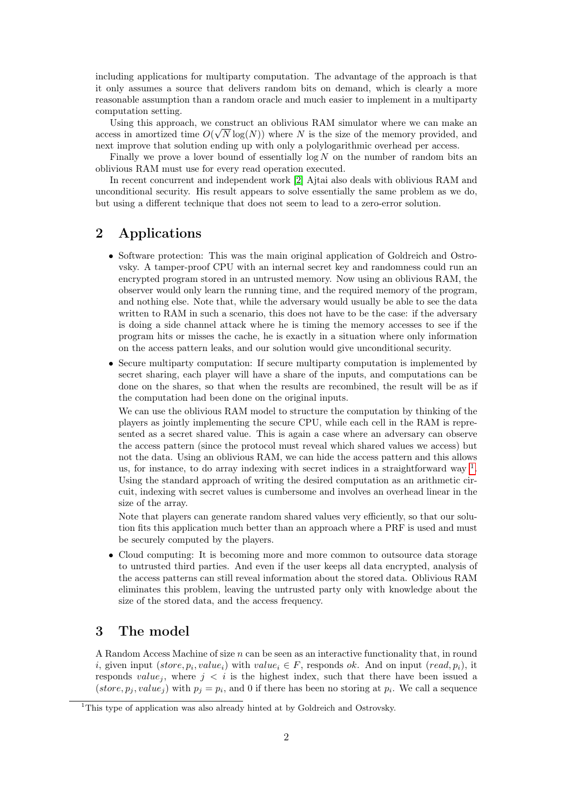including applications for multiparty computation. The advantage of the approach is that it only assumes a source that delivers random bits on demand, which is clearly a more reasonable assumption than a random oracle and much easier to implement in a multiparty computation setting.

Using this approach, we construct an oblivious RAM simulator where we can make an access in amortized time  $O(\sqrt{N}\log(N))$  where N is the size of the memory provided, and next improve that solution ending up with only a polylogarithmic overhead per access.

Finally we prove a lover bound of essentially log  $N$  on the number of random bits an oblivious RAM must use for every read operation executed.

In recent concurrent and independent work [\[2\]](#page-8-1) Ajtai also deals with oblivious RAM and unconditional security. His result appears to solve essentially the same problem as we do, but using a different technique that does not seem to lead to a zero-error solution.

## 2 Applications

- Software protection: This was the main original application of Goldreich and Ostrovsky. A tamper-proof CPU with an internal secret key and randomness could run an encrypted program stored in an untrusted memory. Now using an oblivious RAM, the observer would only learn the running time, and the required memory of the program, and nothing else. Note that, while the adversary would usually be able to see the data written to RAM in such a scenario, this does not have to be the case: if the adversary is doing a side channel attack where he is timing the memory accesses to see if the program hits or misses the cache, he is exactly in a situation where only information on the access pattern leaks, and our solution would give unconditional security.
- Secure multiparty computation: If secure multiparty computation is implemented by secret sharing, each player will have a share of the inputs, and computations can be done on the shares, so that when the results are recombined, the result will be as if the computation had been done on the original inputs.

We can use the oblivious RAM model to structure the computation by thinking of the players as jointly implementing the secure CPU, while each cell in the RAM is represented as a secret shared value. This is again a case where an adversary can observe the access pattern (since the protocol must reveal which shared values we access) but not the data. Using an oblivious RAM, we can hide the access pattern and this allows us, for instance, to do array indexing with secret indices in a straightforward way  $<sup>1</sup>$  $<sup>1</sup>$  $<sup>1</sup>$ .</sup> Using the standard approach of writing the desired computation as an arithmetic circuit, indexing with secret values is cumbersome and involves an overhead linear in the size of the array.

Note that players can generate random shared values very efficiently, so that our solution fits this application much better than an approach where a PRF is used and must be securely computed by the players.

• Cloud computing: It is becoming more and more common to outsource data storage to untrusted third parties. And even if the user keeps all data encrypted, analysis of the access patterns can still reveal information about the stored data. Oblivious RAM eliminates this problem, leaving the untrusted party only with knowledge about the size of the stored data, and the access frequency.

## 3 The model

A Random Access Machine of size  $n$  can be seen as an interactive functionality that, in round *i*, given input (*store*,  $p_i$ , *value<sub>i</sub>*) with *value<sub>i</sub>*  $\in$  *F*, responds *ok*. And on input (*read*,  $p_i$ ), it responds value<sub>i</sub>, where  $j < i$  is the highest index, such that there have been issued a (store,  $p_j$ , value<sub>j</sub>) with  $p_j = p_i$ , and 0 if there has been no storing at  $p_i$ . We call a sequence

<span id="page-1-0"></span><sup>&</sup>lt;sup>1</sup>This type of application was also already hinted at by Goldreich and Ostrovsky.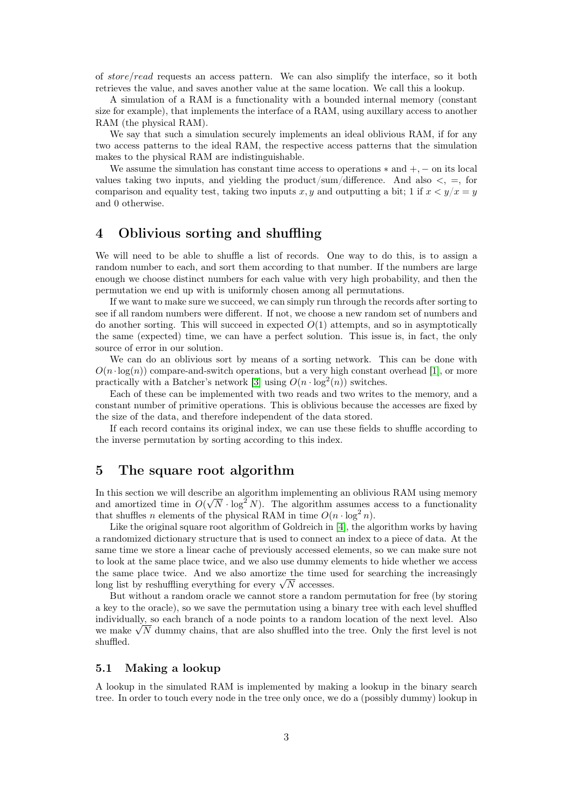of store/read requests an access pattern. We can also simplify the interface, so it both retrieves the value, and saves another value at the same location. We call this a lookup.

A simulation of a RAM is a functionality with a bounded internal memory (constant size for example), that implements the interface of a RAM, using auxillary access to another RAM (the physical RAM).

We say that such a simulation securely implements an ideal oblivious RAM, if for any two access patterns to the ideal RAM, the respective access patterns that the simulation makes to the physical RAM are indistinguishable.

We assume the simulation has constant time access to operations  $*$  and  $+$ ,  $-$  on its local values taking two inputs, and yielding the product/sum/difference. And also  $\lt$ ,  $=$ , for comparison and equality test, taking two inputs x, y and outputting a bit; 1 if  $x < y/x = y$ and 0 otherwise.

## 4 Oblivious sorting and shuffling

We will need to be able to shuffle a list of records. One way to do this, is to assign a random number to each, and sort them according to that number. If the numbers are large enough we choose distinct numbers for each value with very high probability, and then the permutation we end up with is uniformly chosen among all permutations.

If we want to make sure we succeed, we can simply run through the records after sorting to see if all random numbers were different. If not, we choose a new random set of numbers and do another sorting. This will succeed in expected  $O(1)$  attempts, and so in asymptotically the same (expected) time, we can have a perfect solution. This issue is, in fact, the only source of error in our solution.

We can do an oblivious sort by means of a sorting network. This can be done with  $O(n \cdot \log(n))$  compare-and-switch operations, but a very high constant overhead [\[1\]](#page-8-2), or more practically with a Batcher's network [\[3\]](#page-8-3) using  $O(n \cdot \log^2(n))$  switches.

Each of these can be implemented with two reads and two writes to the memory, and a constant number of primitive operations. This is oblivious because the accesses are fixed by the size of the data, and therefore independent of the data stored.

If each record contains its original index, we can use these fields to shuffle according to the inverse permutation by sorting according to this index.

### 5 The square root algorithm

In this section we will describe an algorithm implementing an oblivious RAM using memory and amortized time in  $O(\sqrt{N} \cdot \log^2 N)$ . The algorithm assumes access to a functionality that shuffles *n* elements of the physical RAM in time  $O(n \cdot \log^2 n)$ .

Like the original square root algorithm of Goldreich in [\[4\]](#page-8-4), the algorithm works by having a randomized dictionary structure that is used to connect an index to a piece of data. At the same time we store a linear cache of previously accessed elements, so we can make sure not to look at the same place twice, and we also use dummy elements to hide whether we access the same place twice. And we also amortize the time used for searching the increasingly the same place twice. And we also amortize the time u<br>long list by reshuffling everything for every  $\sqrt{N}$  accesses.

But without a random oracle we cannot store a random permutation for free (by storing a key to the oracle), so we save the permutation using a binary tree with each level shuffled individually, so each branch of a node points to a random location of the next level. Also maividually, so each branch of a node points to a random location of the next level. Also<br>we make  $\sqrt{N}$  dummy chains, that are also shuffled into the tree. Only the first level is not shuffled.

#### 5.1 Making a lookup

A lookup in the simulated RAM is implemented by making a lookup in the binary search tree. In order to touch every node in the tree only once, we do a (possibly dummy) lookup in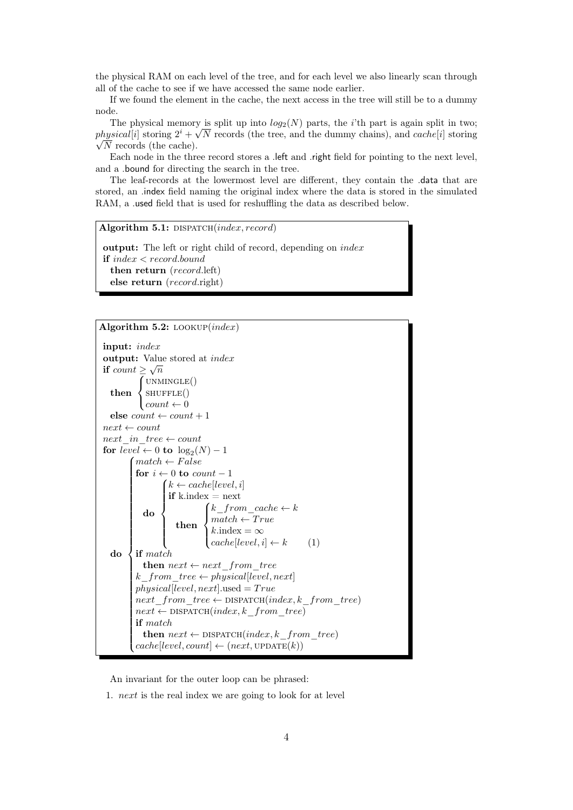the physical RAM on each level of the tree, and for each level we also linearly scan through all of the cache to see if we have accessed the same node earlier.

If we found the element in the cache, the next access in the tree will still be to a dummy node.

The physical memory is split up into  $log_2(N)$  parts, the *i*'th part is again split in two; physical<sup>[i]</sup> storing  $2^i + \sqrt{N}$  records (the tree, and the dummy chains), and *cache*<sup>[i]</sup> storing  $\sqrt{N}$  records (the cache).

Each node in the three record stores a .left and .right field for pointing to the next level, and a .bound for directing the search in the tree.

The leaf-records at the lowermost level are different, they contain the .data that are stored, an .index field naming the original index where the data is stored in the simulated RAM, a .used field that is used for reshuffling the data as described below.

Algorithm 5.1: DISPATCH(index, record)

output: The left or right child of record, depending on index if index  $\langle$  record.bound then return (record.left) else return (record.right)

```
Algorithm 5.2: LOOKUP/index)input: index
 output: Value stored at index<br>
\thereforeif count \geq \sqrt{n}then
             \sqrt{ }\int_{\text{SHIEELE}}^{\text{UNMINGLE}}\mathcal{L}count \leftarrow 0SHUFFLE()else count \leftarrow count + 1next \leftarrow countnext_in_tree \leftarrow count
 for level \leftarrow 0 to log_2(N) - 1do
          \int match \leftarrow False
          \begin{array}{c} \begin{array}{c} \begin{array}{c} \end{array} \\ \begin{array}{c} \end{array} \end{array} \end{array}
            for i \leftarrow 0 to count - 1do
                      \int k \leftarrow cache[level, i]\int if k.index = next<br>\begin{cases} k\_f\overline{\mathcal{L}}then
                                     \int k from cache \leftarrow k\int \frac{m}{m} dtch ← True
                                     \Big \{ cache[level, i] \leftarrow k \qquad (1)k.index = \inftyif match
               then next \leftarrow next\ \ from\ \ treek from tree \leftarrow physical[level, next]physical[level, next].used = True
            next from tree \leftarrow DISPATCH(index, k from tree)
            next \leftarrow \text{DISPATH}(index, k\_from\_tree)if match
               then next \leftarrow \text{DISPATH}(index, k \text{ from tree})cache[level, count] \leftarrow (next,UPDATE(k))
```
<span id="page-3-0"></span>An invariant for the outer loop can be phrased:

1. next is the real index we are going to look for at level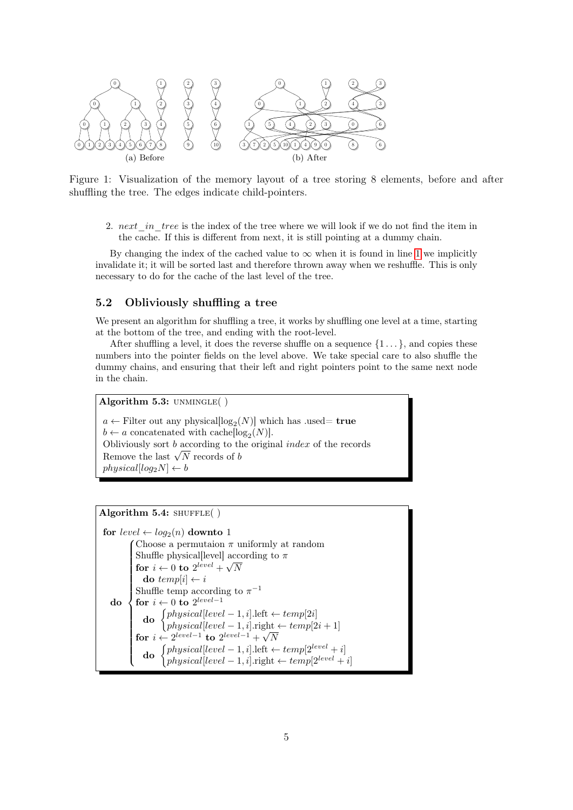

Figure 1: Visualization of the memory layout of a tree storing 8 elements, before and after shuffling the tree. The edges indicate child-pointers.

2. next in tree is the index of the tree where we will look if we do not find the item in the cache. If this is different from next, it is still pointing at a dummy chain.

By changing the index of the cached value to  $\infty$  when it is found in line [1](#page-3-0) we implicitly invalidate it; it will be sorted last and therefore thrown away when we reshuffle. This is only necessary to do for the cache of the last level of the tree.

#### 5.2 Obliviously shuffling a tree

We present an algorithm for shuffling a tree, it works by shuffling one level at a time, starting at the bottom of the tree, and ending with the root-level.

After shuffling a level, it does the reverse shuffle on a sequence  $\{1 \dots \}$ , and copies these numbers into the pointer fields on the level above. We take special care to also shuffle the dummy chains, and ensuring that their left and right pointers point to the same next node in the chain.

Algorithm 5.3: UNMINGLE()

 $a \leftarrow$  Filter out any physical $[\log_2(N)]$  which has .used= **true**  $b \leftarrow a$  concatenated with cache[ $log_2(N)$ ]. Obliviously sort b according to the original index of the records Obliviously sort *b* according to the Remove the last  $\sqrt{N}$  records of *b*  $physical[log_2N] \leftarrow b$ 

```
Algorithm 5.4: SHUFFLE()
```
for  $level \leftarrow log_2(n)$  downto 1 do  $\sqrt{ }$  $\begin{array}{c} \hline \end{array}$  $\begin{array}{c} \hline \end{array}$ Choose a permutaion  $\pi$  uniformly at random Shuffle physical[level] according to  $\pi$ for  $i \leftarrow 0$  to  $2^{level} + \sqrt{N}$ do temp[i]  $\leftarrow i$ Shuffle temp according to  $\pi^{-1}$ for  $i \leftarrow 0$  to  $2^{level-1}$  $\text{do } \begin{cases} \text{physical}[\text{level} - 1, i]. \text{left} \leftarrow \text{temp}[2i] \\ \text{physical}[\text{local} - 1, i]. \text{right} \leftarrow \text{temp}[3i] \end{cases}$  $physical[level-1,i].right \leftarrow temp[2i+1]$  $\{physicat[level-1, t].\text{right}$ <br>for  $i \leftarrow 2^{level-1}$  to  $2^{level-1} + \sqrt{2}$ N do  $\int phy sical[level - 1, i].$ left  $\leftarrow temp[2^{level} + i]$  $\int phy si call [level-1, i]$ .right ←  $temp[2^{level} + i]$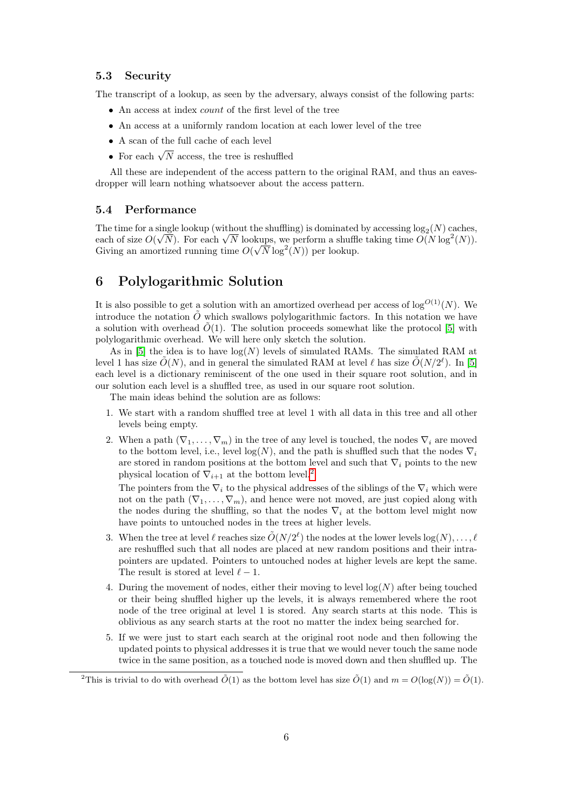#### 5.3 Security

The transcript of a lookup, as seen by the adversary, always consist of the following parts:

- An access at index count of the first level of the tree
- An access at a uniformly random location at each lower level of the tree
- $\bullet\,$  A scan of the full cache of each level
- For each  $\sqrt{N}$  access, the tree is reshuffled

All these are independent of the access pattern to the original RAM, and thus an eavesdropper will learn nothing whatsoever about the access pattern.

#### 5.4 Performance

The time for a single lookup (without the shuffling) is dominated by accessing  $\log_2(N)$  caches, The time for a single lookup (without the shuming) is dominated by accessing  $log_2(N)$  caches,<br>each of size  $O(\sqrt{N})$ . For each  $\sqrt{N}$  lookups, we perform a shuffle taking time  $O(N log<sup>2</sup>(N))$ . Giving an amortized running time  $O(\sqrt{N} \log^2(N))$  per lookup.

## 6 Polylogarithmic Solution

It is also possible to get a solution with an amortized overhead per access of  $\log^{O(1)}(N)$ . We introduce the notation  $\tilde{O}$  which swallows polylogarithmic factors. In this notation we have a solution with overhead  $\tilde{O}(1)$ . The solution proceeds somewhat like the protocol [\[5\]](#page-8-0) with polylogarithmic overhead. We will here only sketch the solution.

As in [\[5\]](#page-8-0) the idea is to have  $log(N)$  levels of simulated RAMs. The simulated RAM at level 1 has size  $\tilde{O}(N)$ , and in general the simulated RAM at level  $\ell$  has size  $\tilde{O}(N/2^{\ell})$ . In [\[5\]](#page-8-0) each level is a dictionary reminiscent of the one used in their square root solution, and in our solution each level is a shuffled tree, as used in our square root solution.

The main ideas behind the solution are as follows:

- 1. We start with a random shuffled tree at level 1 with all data in this tree and all other levels being empty.
- 2. When a path  $(\nabla_1, \ldots, \nabla_m)$  in the tree of any level is touched, the nodes  $\nabla_i$  are moved to the bottom level, i.e., level  $log(N)$ , and the path is shuffled such that the nodes  $\nabla_i$ are stored in random positions at the bottom level and such that  $\nabla_i$  points to the new physical location of  $\nabla_{i+1}$  at the bottom level.<sup>[2](#page-5-0)</sup>

The pointers from the  $\nabla_i$  to the physical addresses of the siblings of the  $\nabla_i$  which were not on the path  $(\nabla_1, \ldots, \nabla_m)$ , and hence were not moved, are just copied along with the nodes during the shuffling, so that the nodes  $\nabla_i$  at the bottom level might now have points to untouched nodes in the trees at higher levels.

- 3. When the tree at level  $\ell$  reaches size  $\tilde{O}(N/2^{\ell})$  the nodes at the lower levels  $\log(N), \ldots, \ell$ are reshuffled such that all nodes are placed at new random positions and their intrapointers are updated. Pointers to untouched nodes at higher levels are kept the same. The result is stored at level  $\ell - 1$ .
- 4. During the movement of nodes, either their moving to level  $log(N)$  after being touched or their being shuffled higher up the levels, it is always remembered where the root node of the tree original at level 1 is stored. Any search starts at this node. This is oblivious as any search starts at the root no matter the index being searched for.
- 5. If we were just to start each search at the original root node and then following the updated points to physical addresses it is true that we would never touch the same node twice in the same position, as a touched node is moved down and then shuffled up. The

<span id="page-5-0"></span><sup>&</sup>lt;sup>2</sup>This is trivial to do with overhead  $\tilde{O}(1)$  as the bottom level has size  $\tilde{O}(1)$  and  $m = O(\log(N)) = \tilde{O}(1)$ .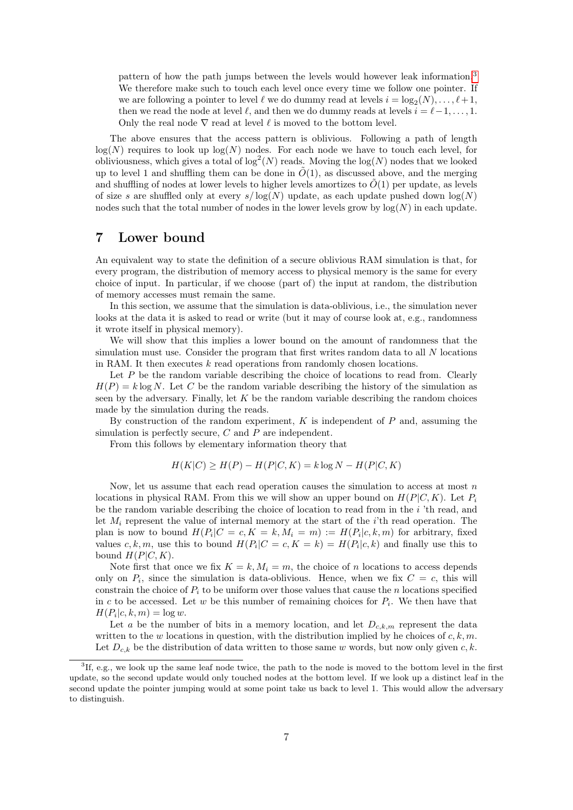pattern of how the path jumps between the levels would however leak information.[3](#page-6-0) We therefore make such to touch each level once every time we follow one pointer. If we are following a pointer to level  $\ell$  we do dummy read at levels  $i = \log_2(N), \ldots, \ell + 1$ , then we read the node at level  $\ell$ , and then we do dummy reads at levels  $i = \ell - 1, \ldots, 1$ . Only the real node  $\nabla$  read at level  $\ell$  is moved to the bottom level.

The above ensures that the access pattern is oblivious. Following a path of length  $log(N)$  requires to look up  $log(N)$  nodes. For each node we have to touch each level, for obliviousness, which gives a total of  $\log^2(N)$  reads. Moving the  $\log(N)$  nodes that we looked up to level 1 and shuffling them can be done in  $\tilde{O}(1)$ , as discussed above, and the merging and shuffling of nodes at lower levels to higher levels amortizes to  $\tilde{O}(1)$  per update, as levels of size s are shuffled only at every  $s/\log(N)$  update, as each update pushed down  $\log(N)$ nodes such that the total number of nodes in the lower levels grow by  $log(N)$  in each update.

## 7 Lower bound

An equivalent way to state the definition of a secure oblivious RAM simulation is that, for every program, the distribution of memory access to physical memory is the same for every choice of input. In particular, if we choose (part of) the input at random, the distribution of memory accesses must remain the same.

In this section, we assume that the simulation is data-oblivious, i.e., the simulation never looks at the data it is asked to read or write (but it may of course look at, e.g., randomness it wrote itself in physical memory).

We will show that this implies a lower bound on the amount of randomness that the simulation must use. Consider the program that first writes random data to all  $N$  locations in RAM. It then executes  $k$  read operations from randomly chosen locations.

Let  $P$  be the random variable describing the choice of locations to read from. Clearly  $H(P) = k \log N$ . Let C be the random variable describing the history of the simulation as seen by the adversary. Finally, let  $K$  be the random variable describing the random choices made by the simulation during the reads.

By construction of the random experiment,  $K$  is independent of  $P$  and, assuming the simulation is perfectly secure,  $C$  and  $P$  are independent.

From this follows by elementary information theory that

$$
H(K|C) \ge H(P) - H(P|C, K) = k \log N - H(P|C, K)
$$

Now, let us assume that each read operation causes the simulation to access at most  $n$ locations in physical RAM. From this we will show an upper bound on  $H(P|C, K)$ . Let  $P_i$ be the random variable describing the choice of location to read from in the i 'th read, and let  $M_i$  represent the value of internal memory at the start of the i'th read operation. The plan is now to bound  $H(P_i|C = c, K = k, M_i = m) := H(P_i|c, k, m)$  for arbitrary, fixed values c, k, m, use this to bound  $H(P_i|C = c, K = k) = H(P_i|c, k)$  and finally use this to bound  $H(P|C, K)$ .

Note first that once we fix  $K = k$ ,  $M_i = m$ , the choice of n locations to access depends only on  $P_i$ , since the simulation is data-oblivious. Hence, when we fix  $C = c$ , this will constrain the choice of  $P_i$  to be uniform over those values that cause the n locations specified in c to be accessed. Let w be this number of remaining choices for  $P_i$ . We then have that  $H(P_i|c, k, m) = \log w.$ 

Let a be the number of bits in a memory location, and let  $D_{c,k,m}$  represent the data written to the w locations in question, with the distribution implied by he choices of  $c, k, m$ . Let  $D_{c,k}$  be the distribution of data written to those same w words, but now only given c, k.

<span id="page-6-0"></span><sup>&</sup>lt;sup>3</sup>If, e.g., we look up the same leaf node twice, the path to the node is moved to the bottom level in the first update, so the second update would only touched nodes at the bottom level. If we look up a distinct leaf in the second update the pointer jumping would at some point take us back to level 1. This would allow the adversary to distinguish.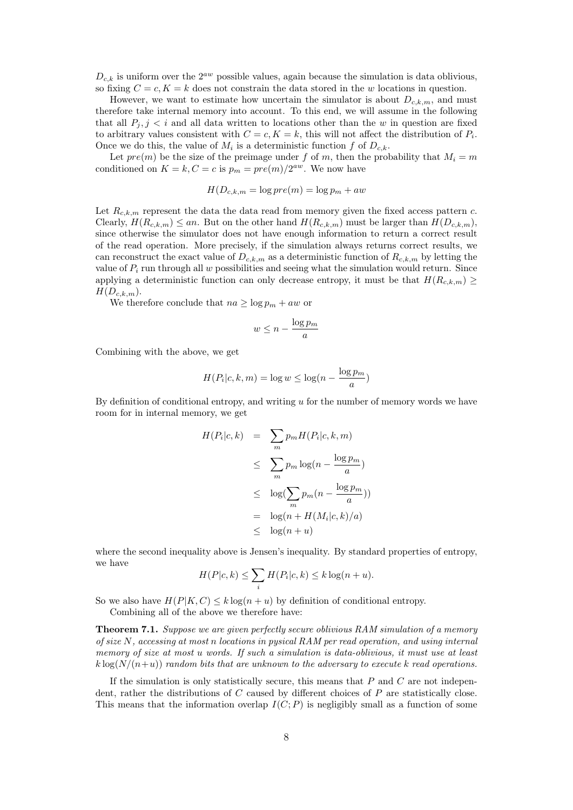$D_{c,k}$  is uniform over the  $2^{aw}$  possible values, again because the simulation is data oblivious, so fixing  $C = c, K = k$  does not constrain the data stored in the w locations in question.

However, we want to estimate how uncertain the simulator is about  $D_{c,k,m}$ , and must therefore take internal memory into account. To this end, we will assume in the following that all  $P_i, j \lt i$  and all data written to locations other than the w in question are fixed to arbitrary values consistent with  $C = c, K = k$ , this will not affect the distribution of  $P_i$ . Once we do this, the value of  $M_i$  is a deterministic function f of  $D_{c,k}$ .

Let  $pre(m)$  be the size of the preimage under f of m, then the probability that  $M_i = m$ conditioned on  $K = k$ ,  $C = c$  is  $p_m = pre(m)/2^{aw}$ . We now have

$$
H(D_{c,k,m} = \log pre(m) = \log p_m + aw
$$

Let  $R_{c,k,m}$  represent the data the data read from memory given the fixed access pattern c. Clearly,  $H(R_{c,k,m}) \leq an$ . But on the other hand  $H(R_{c,k,m})$  must be larger than  $H(D_{c,k,m})$ , since otherwise the simulator does not have enough information to return a correct result of the read operation. More precisely, if the simulation always returns correct results, we can reconstruct the exact value of  $D_{c,k,m}$  as a deterministic function of  $R_{c,k,m}$  by letting the value of  $P_i$  run through all w possibilities and seeing what the simulation would return. Since applying a deterministic function can only decrease entropy, it must be that  $H(R_{c,k,m}) \ge$  $H(D_{c,k,m}).$ 

We therefore conclude that  $na > \log p_m + aw$  or

$$
w \le n - \frac{\log p_m}{a}
$$

Combining with the above, we get

$$
H(P_i|c, k, m) = \log w \le \log\left(n - \frac{\log p_m}{a}\right)
$$

By definition of conditional entropy, and writing  $u$  for the number of memory words we have room for in internal memory, we get

$$
H(P_i|c,k) = \sum_m p_m H(P_i|c,k,m)
$$
  
\n
$$
\leq \sum_m p_m \log(n - \frac{\log p_m}{a})
$$
  
\n
$$
\leq \log(\sum_m p_m (n - \frac{\log p_m}{a}))
$$
  
\n
$$
= \log(n + H(M_i|c,k)/a)
$$
  
\n
$$
\leq \log(n + u)
$$

where the second inequality above is Jensen's inequality. By standard properties of entropy, we have

$$
H(P|c,k) \le \sum_{i} H(P_i|c,k) \le k \log(n+u).
$$

So we also have  $H(P|K, C) \leq k \log(n + u)$  by definition of conditional entropy.

Combining all of the above we therefore have:

Theorem 7.1. Suppose we are given perfectly secure oblivious RAM simulation of a memory of size  $N$ , accessing at most n locations in pysical RAM per read operation, and using internal memory of size at most u words. If such a simulation is data-oblivious, it must use at least  $k \log(N/(n+u))$  random bits that are unknown to the adversary to execute k read operations.

If the simulation is only statistically secure, this means that  $P$  and  $C$  are not independent, rather the distributions of  $C$  caused by different choices of  $P$  are statistically close. This means that the information overlap  $I(C; P)$  is negligibly small as a function of some